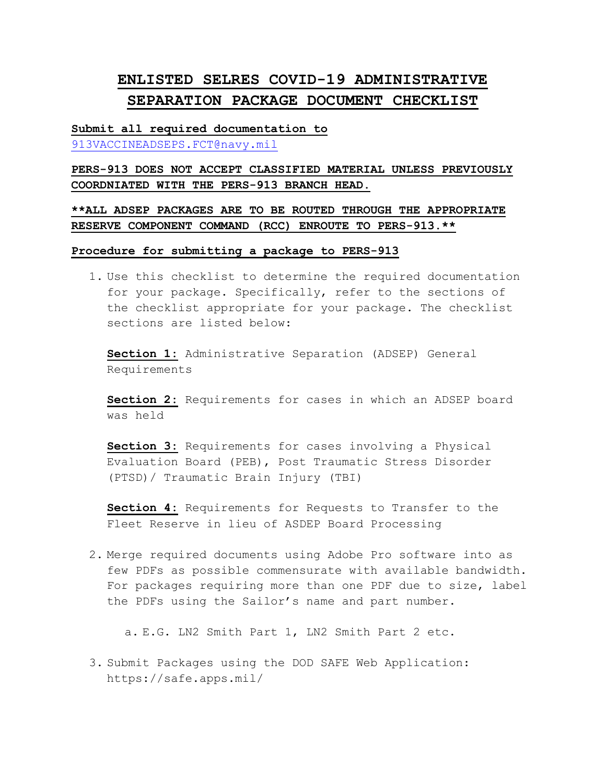# **ENLISTED SELRES COVID-19 ADMINISTRATIVE SEPARATION PACKAGE DOCUMENT CHECKLIST**

**Submit all required documentation to**  [913VACCINEADSEPS.FCT@navy.mil](mailto:913VACCINEADSEPS.FCT@navy.mil)

**PERS-913 DOES NOT ACCEPT CLASSIFIED MATERIAL UNLESS PREVIOUSLY COORDNIATED WITH THE PERS-913 BRANCH HEAD.**

**\*\*ALL ADSEP PACKAGES ARE TO BE ROUTED THROUGH THE APPROPRIATE RESERVE COMPONENT COMMAND (RCC) ENROUTE TO PERS-913.\*\***

**Procedure for submitting a package to PERS-913**

1. Use this checklist to determine the required documentation for your package. Specifically, refer to the sections of the checklist appropriate for your package. The checklist sections are listed below:

**Section 1:** Administrative Separation (ADSEP) General Requirements

**Section 2:** Requirements for cases in which an ADSEP board was held

**Section 3:** Requirements for cases involving a Physical Evaluation Board (PEB), Post Traumatic Stress Disorder (PTSD)/ Traumatic Brain Injury (TBI)

**Section 4:** Requirements for Requests to Transfer to the Fleet Reserve in lieu of ASDEP Board Processing

2. Merge required documents using Adobe Pro software into as few PDFs as possible commensurate with available bandwidth. For packages requiring more than one PDF due to size, label the PDFs using the Sailor's name and part number.

a. E.G. LN2 Smith Part 1, LN2 Smith Part 2 etc.

3. Submit Packages using the DOD SAFE Web Application: https://safe.apps.mil/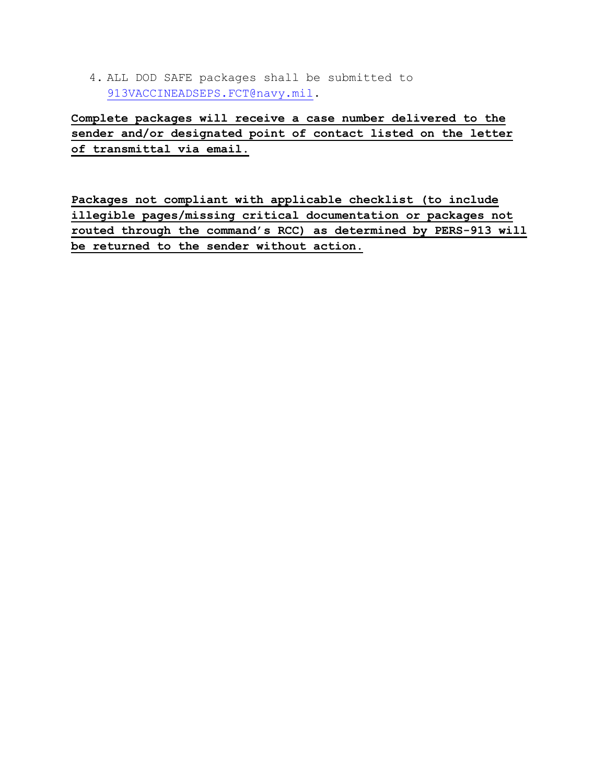4. ALL DOD SAFE packages shall be submitted to [913VACCINEADSEPS.FCT@navy.mil.](mailto:913VACCINEADSEPS.FCT@navy.mil)

**Complete packages will receive a case number delivered to the sender and/or designated point of contact listed on the letter of transmittal via email.**

**Packages not compliant with applicable checklist (to include illegible pages/missing critical documentation or packages not routed through the command's RCC) as determined by PERS-913 will be returned to the sender without action.**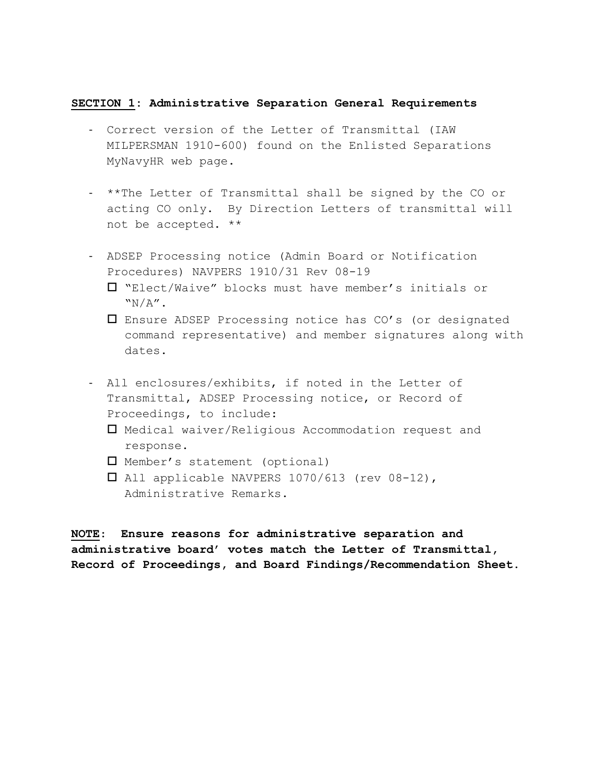### **SECTION 1: Administrative Separation General Requirements**

- Correct version of the Letter of Transmittal (IAW MILPERSMAN 1910-600) found on the Enlisted Separations MyNavyHR web page.
- \*\*The Letter of Transmittal shall be signed by the CO or acting CO only. By Direction Letters of transmittal will not be accepted. \*\*
- ADSEP Processing notice (Admin Board or Notification Procedures) NAVPERS 1910/31 Rev 08-19
	- "Elect/Waive" blocks must have member's initials or  $``N/A''$ .
	- Ensure ADSEP Processing notice has CO's (or designated command representative) and member signatures along with dates.
- All enclosures/exhibits, if noted in the Letter of Transmittal, ADSEP Processing notice, or Record of Proceedings, to include:
	- Medical waiver/Religious Accommodation request and response.
	- Member's statement (optional)
	- All applicable NAVPERS 1070/613 (rev 08-12), Administrative Remarks.

**NOTE**: **Ensure reasons for administrative separation and administrative board' votes match the Letter of Transmittal, Record of Proceedings, and Board Findings/Recommendation Sheet.**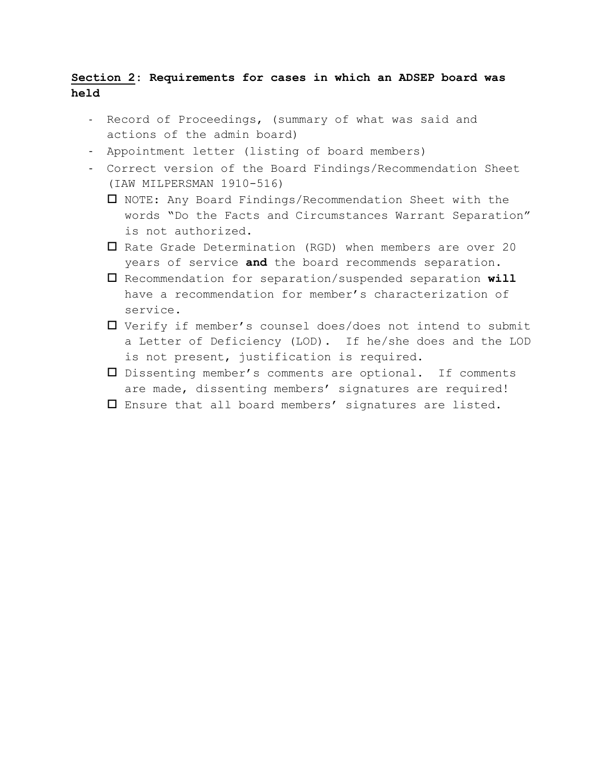## **Section 2: Requirements for cases in which an ADSEP board was held**

- Record of Proceedings, (summary of what was said and actions of the admin board)
- Appointment letter (listing of board members)
- Correct version of the Board Findings/Recommendation Sheet (IAW MILPERSMAN 1910-516)
	- NOTE: Any Board Findings/Recommendation Sheet with the words "Do the Facts and Circumstances Warrant Separation" is not authorized.
	- $\Box$  Rate Grade Determination (RGD) when members are over 20 years of service **and** the board recommends separation.
	- Recommendation for separation/suspended separation **will** have a recommendation for member's characterization of service.
	- Verify if member's counsel does/does not intend to submit a Letter of Deficiency (LOD). If he/she does and the LOD is not present, justification is required.
	- Dissenting member's comments are optional. If comments are made, dissenting members' signatures are required!
	- Ensure that all board members' signatures are listed.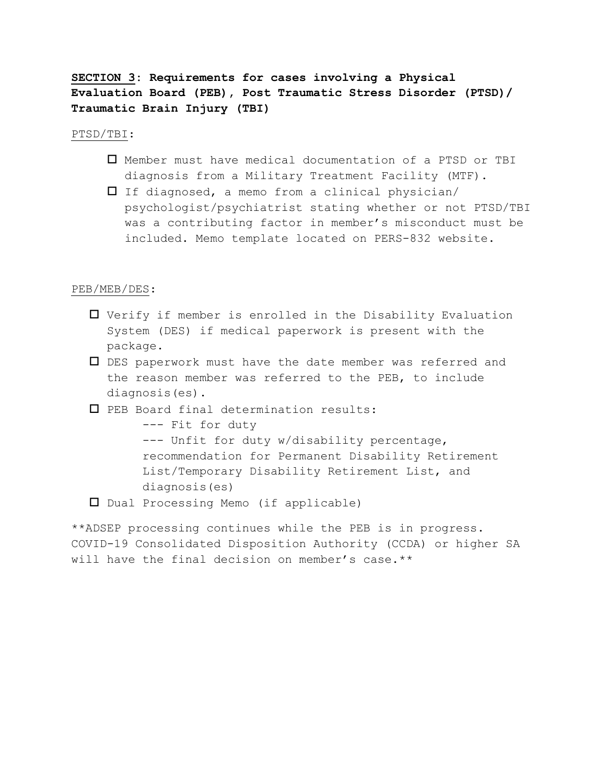**SECTION 3: Requirements for cases involving a Physical Evaluation Board (PEB), Post Traumatic Stress Disorder (PTSD)/ Traumatic Brain Injury (TBI)**

PTSD/TBI:

- Member must have medical documentation of a PTSD or TBI diagnosis from a Military Treatment Facility (MTF).
- $\Box$  If diagnosed, a memo from a clinical physician/ psychologist/psychiatrist stating whether or not PTSD/TBI was a contributing factor in member's misconduct must be included. Memo template located on PERS-832 website.

### PEB/MEB/DES:

- Verify if member is enrolled in the Disability Evaluation System (DES) if medical paperwork is present with the package.
- DES paperwork must have the date member was referred and the reason member was referred to the PEB, to include diagnosis(es).
- PEB Board final determination results:

--- Fit for duty --- Unfit for duty w/disability percentage, recommendation for Permanent Disability Retirement List/Temporary Disability Retirement List, and diagnosis(es)

Dual Processing Memo (if applicable)

\*\*ADSEP processing continues while the PEB is in progress. COVID-19 Consolidated Disposition Authority (CCDA) or higher SA will have the final decision on member's case.\*\*